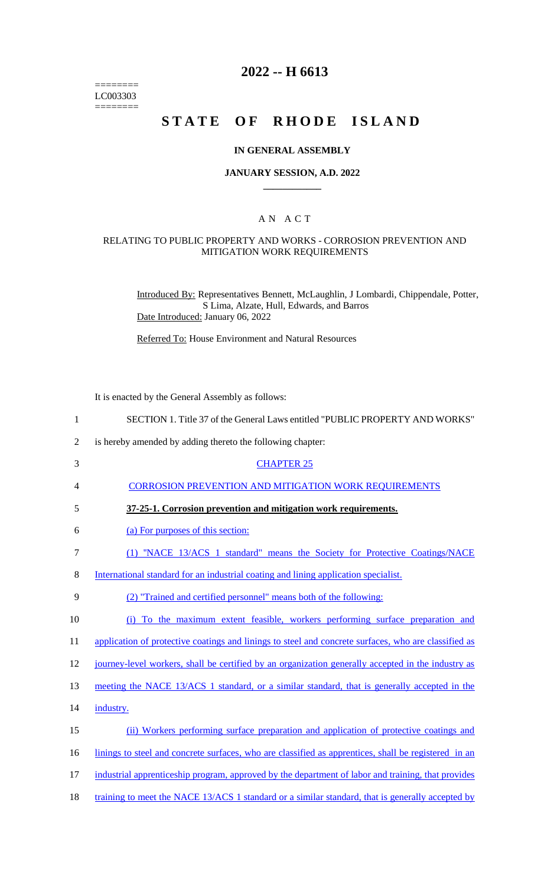======== LC003303  $=$ 

## **2022 -- H 6613**

# **STATE OF RHODE ISLAND**

## **IN GENERAL ASSEMBLY**

#### **JANUARY SESSION, A.D. 2022 \_\_\_\_\_\_\_\_\_\_\_\_**

## A N A C T

### RELATING TO PUBLIC PROPERTY AND WORKS - CORROSION PREVENTION AND MITIGATION WORK REQUIREMENTS

Introduced By: Representatives Bennett, McLaughlin, J Lombardi, Chippendale, Potter, S Lima, Alzate, Hull, Edwards, and Barros Date Introduced: January 06, 2022

Referred To: House Environment and Natural Resources

It is enacted by the General Assembly as follows:

| $\mathbf{1}$   | SECTION 1. Title 37 of the General Laws entitled "PUBLIC PROPERTY AND WORKS"                         |
|----------------|------------------------------------------------------------------------------------------------------|
| $\overline{2}$ | is hereby amended by adding thereto the following chapter:                                           |
| $\mathfrak{Z}$ | <b>CHAPTER 25</b>                                                                                    |
| 4              | <b>CORROSION PREVENTION AND MITIGATION WORK REQUIREMENTS</b>                                         |
| 5              | 37-25-1. Corrosion prevention and mitigation work requirements.                                      |
| 6              | (a) For purposes of this section:                                                                    |
| 7              | (1) "NACE 13/ACS 1 standard" means the Society for Protective Coatings/NACE                          |
| 8              | International standard for an industrial coating and lining application specialist.                  |
| 9              | (2) "Trained and certified personnel" means both of the following:                                   |
| 10             | (i) To the maximum extent feasible, workers performing surface preparation and                       |
| 11             | application of protective coatings and linings to steel and concrete surfaces, who are classified as |
| 12             | journey-level workers, shall be certified by an organization generally accepted in the industry as   |
| 13             | meeting the NACE 13/ACS 1 standard, or a similar standard, that is generally accepted in the         |
| 14             | industry.                                                                                            |
| 15             | (ii) Workers performing surface preparation and application of protective coatings and               |
| 16             | linings to steel and concrete surfaces, who are classified as apprentices, shall be registered in an |
| 17             | industrial apprenticeship program, approved by the department of labor and training, that provides   |
| 18             | training to meet the NACE 13/ACS 1 standard or a similar standard, that is generally accepted by     |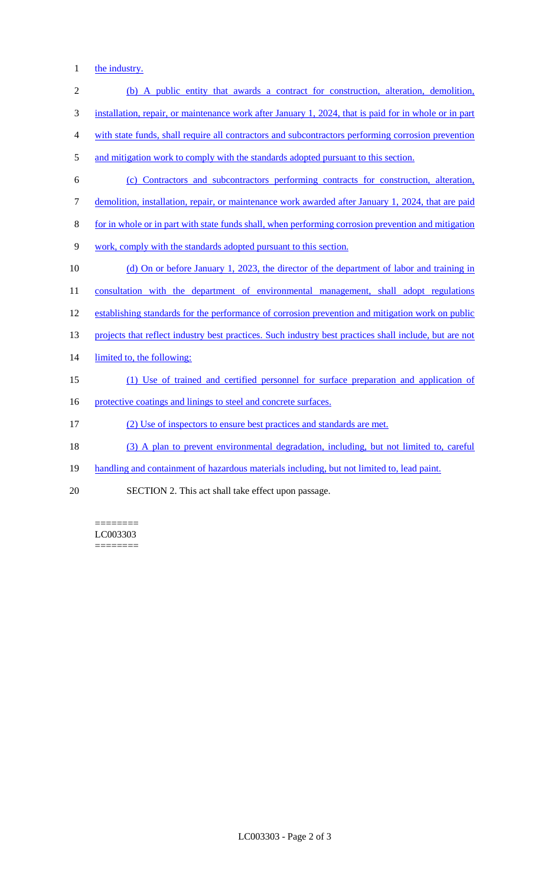1 the industry.

| $\overline{2}$ | (b) A public entity that awards a contract for construction, alteration, demolition,                   |
|----------------|--------------------------------------------------------------------------------------------------------|
| 3              | installation, repair, or maintenance work after January 1, 2024, that is paid for in whole or in part  |
| 4              | with state funds, shall require all contractors and subcontractors performing corrosion prevention     |
| 5              | and mitigation work to comply with the standards adopted pursuant to this section.                     |
| 6              | (c) Contractors and subcontractors performing contracts for construction, alteration,                  |
| 7              | demolition, installation, repair, or maintenance work awarded after January 1, 2024, that are paid     |
| 8              | for in whole or in part with state funds shall, when performing corrosion prevention and mitigation    |
| 9              | work, comply with the standards adopted pursuant to this section.                                      |
| 10             | (d) On or before January 1, 2023, the director of the department of labor and training in              |
| 11             | consultation with the department of environmental management, shall adopt regulations                  |
| 12             | establishing standards for the performance of corrosion prevention and mitigation work on public       |
| 13             | projects that reflect industry best practices. Such industry best practices shall include, but are not |
| 14             | limited to, the following:                                                                             |
| 15             | (1) Use of trained and certified personnel for surface preparation and application of                  |
| 16             | protective coatings and linings to steel and concrete surfaces.                                        |
| 17             | (2) Use of inspectors to ensure best practices and standards are met.                                  |
| 18             | (3) A plan to prevent environmental degradation, including, but not limited to, careful                |
| 19             | handling and containment of hazardous materials including, but not limited to, lead paint.             |
| 20             | SECTION 2. This act shall take effect upon passage.                                                    |

 $=$ LC003303 ========